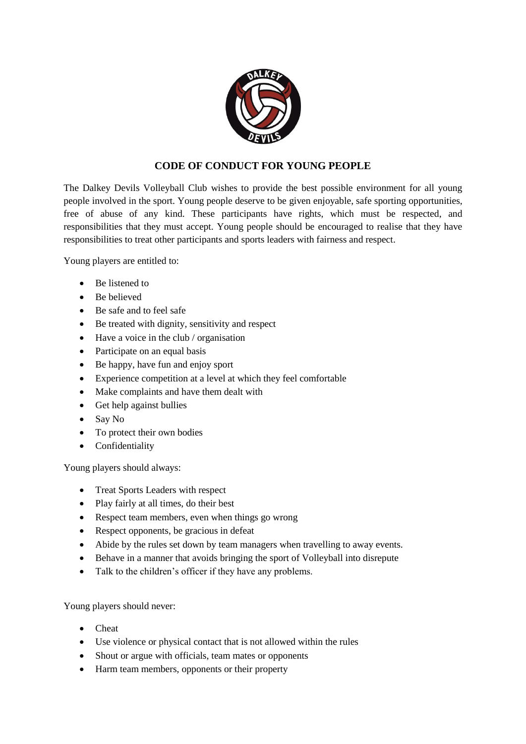

## **CODE OF CONDUCT FOR YOUNG PEOPLE**

The Dalkey Devils Volleyball Club wishes to provide the best possible environment for all young people involved in the sport. Young people deserve to be given enjoyable, safe sporting opportunities, free of abuse of any kind. These participants have rights, which must be respected, and responsibilities that they must accept. Young people should be encouraged to realise that they have responsibilities to treat other participants and sports leaders with fairness and respect.

Young players are entitled to:

- Be listened to
- Be believed
- Be safe and to feel safe
- Be treated with dignity, sensitivity and respect
- Have a voice in the club / organisation
- Participate on an equal basis
- Be happy, have fun and enjoy sport
- Experience competition at a level at which they feel comfortable
- Make complaints and have them dealt with
- Get help against bullies
- Say No
- To protect their own bodies
- Confidentiality

Young players should always:

- Treat Sports Leaders with respect
- Play fairly at all times, do their best
- Respect team members, even when things go wrong
- Respect opponents, be gracious in defeat
- Abide by the rules set down by team managers when travelling to away events.
- Behave in a manner that avoids bringing the sport of Volleyball into disrepute
- Talk to the children's officer if they have any problems.

Young players should never:

- Cheat
- Use violence or physical contact that is not allowed within the rules
- Shout or argue with officials, team mates or opponents
- Harm team members, opponents or their property